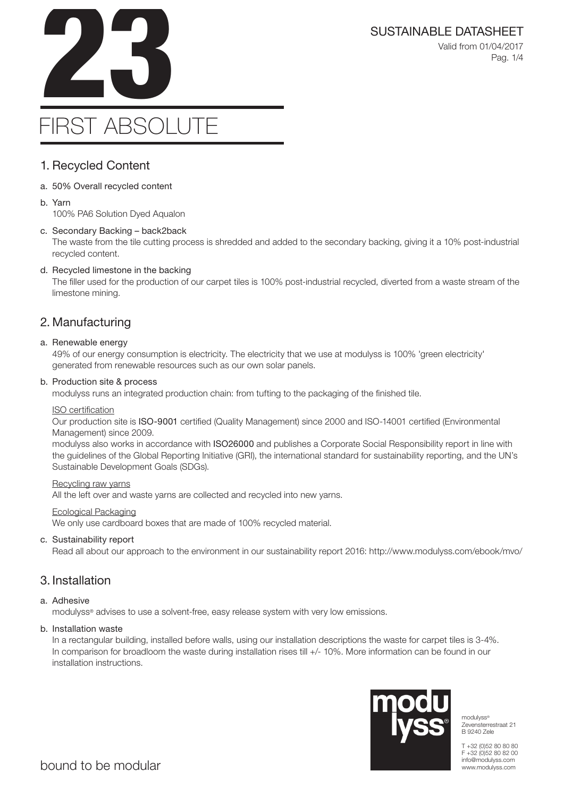

Valid from 01/04/2017 Pag. 1/4

# FIRST ABSOLUTE

## 1. Recycled Content

- a. 50% Overall recycled content
- b. Yarn

100% PA6 Solution Dyed Aqualon

## c. Secondary Backing – back2back

The waste from the tile cutting process is shredded and added to the secondary backing, giving it a 10% post-industrial recycled content.

## d. Recycled limestone in the backing

The filler used for the production of our carpet tiles is 100% post-industrial recycled, diverted from a waste stream of the limestone mining.

# 2. Manufacturing

#### a. Renewable energy

49% of our energy consumption is electricity. The electricity that we use at modulyss is 100% 'green electricity' generated from renewable resources such as our own solar panels.

#### b. Production site & process

modulyss runs an integrated production chain: from tufting to the packaging of the finished tile.

#### ISO certification

Our production site is ISO-9001 certified (Quality Management) since 2000 and ISO-14001 certified (Environmental Management) since 2009.

modulyss also works in accordance with ISO26000 and publishes a Corporate Social Responsibility report in line with the guidelines of the Global Reporting Initiative (GRI), the international standard for sustainability reporting, and the UN's Sustainable Development Goals (SDGs).

#### Recycling raw yarns

All the left over and waste yarns are collected and recycled into new yarns.

#### Ecological Packaging

We only use cardboard boxes that are made of 100% recycled material.

## c. Sustainability report

Read all about our approach to the environment in our sustainability report 2016: http://www.modulyss.com/ebook/mvo/

## 3. Installation

## a. Adhesive

modulyss® advises to use a solvent-free, easy release system with very low emissions.

## b. Installation waste

In a rectangular building, installed before walls, using our installation descriptions the waste for carpet tiles is 3-4%. In comparison for broadloom the waste during installation rises till +/- 10%. More information can be found in our installation instructions.



modulyss® Zevensterrestraat 21 B 9240 Zele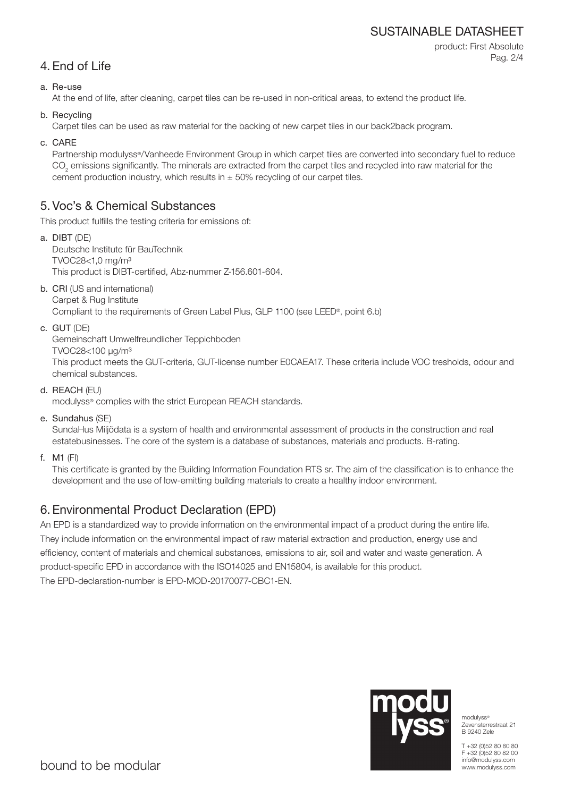## SUSTAINABLE DATASHEET

product: First Absolute Pag. 2/4

# 4. End of Life

a. Re-use

At the end of life, after cleaning, carpet tiles can be re-used in non-critical areas, to extend the product life.

b. Recycling

Carpet tiles can be used as raw material for the backing of new carpet tiles in our back2back program.

c. CARE

Partnership modulyss®/Vanheede Environment Group in which carpet tiles are converted into secondary fuel to reduce  $\mathrm{CO}_2$  emissions significantly. The minerals are extracted from the carpet tiles and recycled into raw material for the cement production industry, which results in  $\pm$  50% recycling of our carpet tiles.

# 5. Voc's & Chemical Substances

This product fulfills the testing criteria for emissions of:

- a. DIBT (DE) Deutsche Institute für BauTechnik TVOC28<1,0 mg/m³ This product is DIBT-certified, Abz-nummer Z-156.601-604.
- b. CRI (US and international) Carpet & Rug Institute

Compliant to the requirements of Green Label Plus, GLP 1100 (see LEED®, point 6.b)

c. GUT (DE)

Gemeinschaft Umwelfreundlicher Teppichboden

TVOC28<100 μg/m³

This product meets the GUT-criteria, GUT-license number E0CAEA17. These criteria include VOC tresholds, odour and chemical substances.

d. REACH (EU)

modulyss® complies with the strict European REACH standards.

e. Sundahus (SE)

SundaHus Miljödata is a system of health and environmental assessment of products in the construction and real estatebusinesses. The core of the system is a database of substances, materials and products. B-rating.

f. M1 (FI)

This certificate is granted by the Building Information Foundation RTS sr. The aim of the classification is to enhance the development and the use of low-emitting building materials to create a healthy indoor environment.

# 6. Environmental Product Declaration (EPD)

An EPD is a standardized way to provide information on the environmental impact of a product during the entire life. They include information on the environmental impact of raw material extraction and production, energy use and efficiency, content of materials and chemical substances, emissions to air, soil and water and waste generation. A product-specific EPD in accordance with the ISO14025 and EN15804, is available for this product. The EPD-declaration-number is EPD-MOD-20170077-CBC1-EN.



modulyss® Zevensterrestraat 21 B 9240 Zele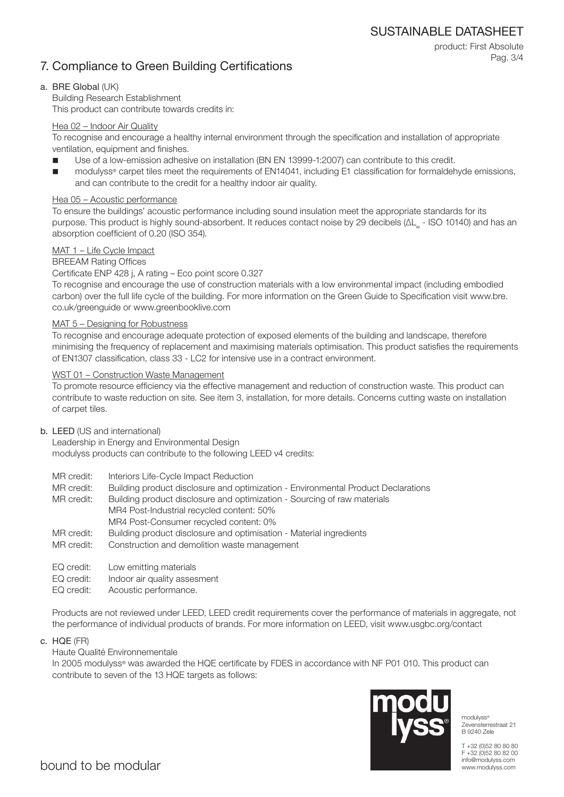SUSTAINABLE DATASHEET

product: First Absolute

Pag. 3/4

# 7. Compliance to Green Building Certifications

## a. BRE Global (UK)

Building Research Establishment This product can contribute towards credits in:

## Hea 02 – Indoor Air Quality

To recognise and encourage a healthy internal environment through the specification and installation of appropriate ventilation, equipment and finishes.

- Use of a low-emission adhesive on installation (BN EN 13999-1:2007) can contribute to this credit.
- modulyss® carpet tiles meet the requirements of EN14041, including E1 classification for formaldehyde emissions, and can contribute to the credit for a healthy indoor air quality.

## Hea 05 – Acoustic performance

To ensure the buildings' acoustic performance including sound insulation meet the appropriate standards for its purpose. This product is highly sound-absorbent. It reduces contact noise by 29 decibels (ΔL<sub>w</sub> - ISO 10140) and has an absorption coefficient of 0.20 (ISO 354).

## MAT 1 – Life Cycle Impact

## BREEAM Rating Offices

## Certificate ENP 428 j, A rating – Eco point score 0.327

To recognise and encourage the use of construction materials with a low environmental impact (including embodied carbon) over the full life cycle of the building. For more information on the Green Guide to Specification visit www.bre. co.uk/greenguide or www.greenbooklive.com

## MAT 5 – Designing for Robustness

To recognise and encourage adequate protection of exposed elements of the building and landscape, therefore minimising the frequency of replacement and maximising materials optimisation. This product satisfies the requirements of EN1307 classification, class 33 - LC2 for intensive use in a contract environment.

## WST 01 – Construction Waste Management

To promote resource efficiency via the effective management and reduction of construction waste. This product can contribute to waste reduction on site. See item 3, installation, for more details. Concerns cutting waste on installation of carpet tiles.

## b. LEED (US and international)

Leadership in Energy and Environmental Design modulyss products can contribute to the following LEED v4 credits:

- MR credit: Interiors Life-Cycle Impact Reduction
- MR credit: Building product disclosure and optimization Environmental Product Declarations

MR credit: Building product disclosure and optimization - Sourcing of raw materials MR4 Post-Industrial recycled content: 50% MR4 Post-Consumer recycled content: 0%

- MR credit: Building product disclosure and optimisation Material ingredients
- MR credit: Construction and demolition waste management
- EQ credit: Low emitting materials
- EQ credit: Indoor air quality assesment
- EQ credit: Acoustic performance.

Products are not reviewed under LEED, LEED credit requirements cover the performance of materials in aggregate, not the performance of individual products of brands. For more information on LEED, visit www.usgbc.org/contact

c. HQE (FR)

## Haute Qualité Environnementale

In 2005 modulyss® was awarded the HQE certificate by FDES in accordance with NF P01 010. This product can contribute to seven of the 13 HQE targets as follows:



modulyss® Zevensterrestraat 21 B 9240 Zele